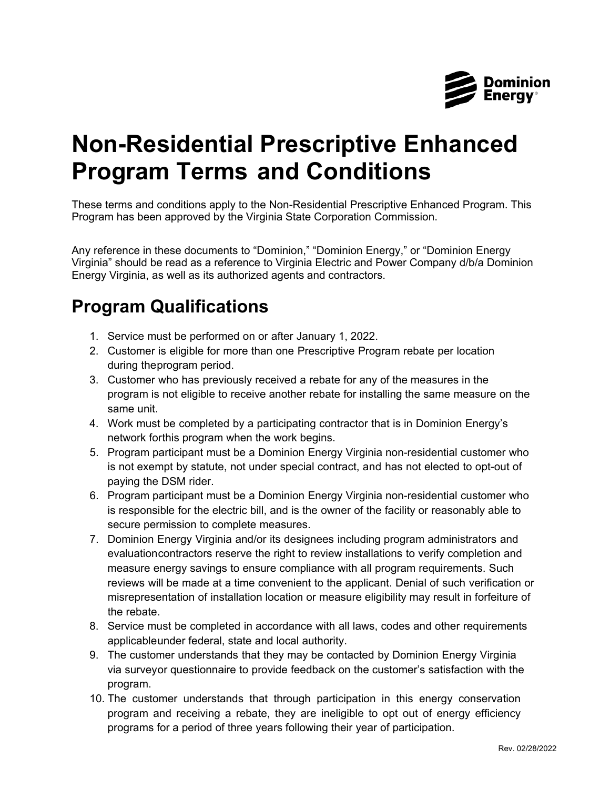

## **Non-Residential Prescriptive Enhanced Program Terms and Conditions**

These terms and conditions apply to the Non-Residential Prescriptive Enhanced Program. This Program has been approved by the Virginia State Corporation Commission.

Any reference in these documents to "Dominion," "Dominion Energy," or "Dominion Energy Virginia" should be read as a reference to Virginia Electric and Power Company d/b/a Dominion Energy Virginia, as well as its authorized agents and contractors.

## **Program Qualifications**

- 1. Service must be performed on or after January 1, 2022.
- 2. Customer is eligible for more than one Prescriptive Program rebate per location during theprogram period.
- 3. Customer who has previously received a rebate for any of the measures in the program is not eligible to receive another rebate for installing the same measure on the same unit.
- 4. Work must be completed by a participating contractor that is in Dominion Energy's network forthis program when the work begins.
- 5. Program participant must be a Dominion Energy Virginia non-residential customer who is not exempt by statute, not under special contract, and has not elected to opt-out of paying the DSM rider.
- 6. Program participant must be a Dominion Energy Virginia non-residential customer who is responsible for the electric bill, and is the owner of the facility or reasonably able to secure permission to complete measures.
- 7. Dominion Energy Virginia and/or its designees including program administrators and evaluationcontractors reserve the right to review installations to verify completion and measure energy savings to ensure compliance with all program requirements. Such reviews will be made at a time convenient to the applicant. Denial of such verification or misrepresentation of installation location or measure eligibility may result in forfeiture of the rebate.
- 8. Service must be completed in accordance with all laws, codes and other requirements applicableunder federal, state and local authority.
- 9. The customer understands that they may be contacted by Dominion Energy Virginia via surveyor questionnaire to provide feedback on the customer's satisfaction with the program.
- 10. The customer understands that through participation in this energy conservation program and receiving a rebate, they are ineligible to opt out of energy efficiency programs for a period of three years following their year of participation.